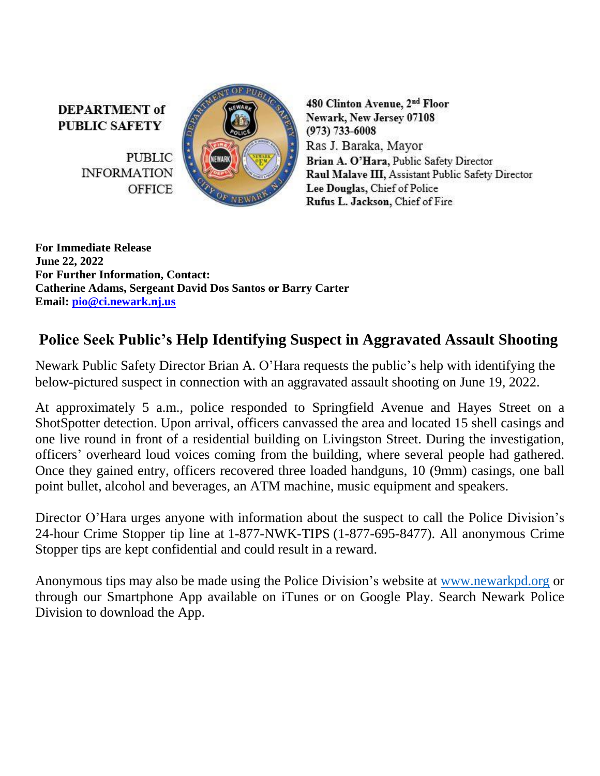**DEPARTMENT** of **PUBLIC SAFETY** 

> **PUBLIC INFORMATION OFFICE**



480 Clinton Avenue, 2nd Floor Newark, New Jersey 07108  $(973) 733 - 6008$ Ras J. Baraka, Mayor Brian A. O'Hara, Public Safety Director Raul Malave III, Assistant Public Safety Director Lee Douglas, Chief of Police Rufus L. Jackson, Chief of Fire

**For Immediate Release June 22, 2022 For Further Information, Contact: Catherine Adams, Sergeant David Dos Santos or Barry Carter Email: [pio@ci.newark.nj.us](mailto:pio@ci.newark.nj.us)**

## **Police Seek Public's Help Identifying Suspect in Aggravated Assault Shooting**

Newark Public Safety Director Brian A. O'Hara requests the public's help with identifying the below-pictured suspect in connection with an aggravated assault shooting on June 19, 2022.

At approximately 5 a.m., police responded to Springfield Avenue and Hayes Street on a ShotSpotter detection. Upon arrival, officers canvassed the area and located 15 shell casings and one live round in front of a residential building on Livingston Street. During the investigation, officers' overheard loud voices coming from the building, where several people had gathered. Once they gained entry, officers recovered three loaded handguns, 10 (9mm) casings, one ball point bullet, alcohol and beverages, an ATM machine, music equipment and speakers.

Director O'Hara urges anyone with information about the suspect to call the Police Division's 24-hour Crime Stopper tip line at 1-877-NWK-TIPS (1-877-695-8477). All anonymous Crime Stopper tips are kept confidential and could result in a reward.

Anonymous tips may also be made using the Police Division's website at [www.newarkpd.org](https://nam11.safelinks.protection.outlook.com/?url=http%3A%2F%2Fwww.newarkpd.org%2F&data=04%7C01%7Ccarterba%40ci.newark.nj.us%7C92a82169bcc34f83ddaf08d9c4a7e14f%7C24883a20af7b4ead9b4c900a20da8933%7C0%7C0%7C637757047590426713%7CUnknown%7CTWFpbGZsb3d8eyJWIjoiMC4wLjAwMDAiLCJQIjoiV2luMzIiLCJBTiI6Ik1haWwiLCJXVCI6Mn0%3D%7C3000&sdata=jra6I1QGnzC3%2B2Pn2AXVyJZGuCjfTChzSjpqOMvnEAs%3D&reserved=0) or through our Smartphone App available on iTunes or on Google Play. Search Newark Police Division to download the App.